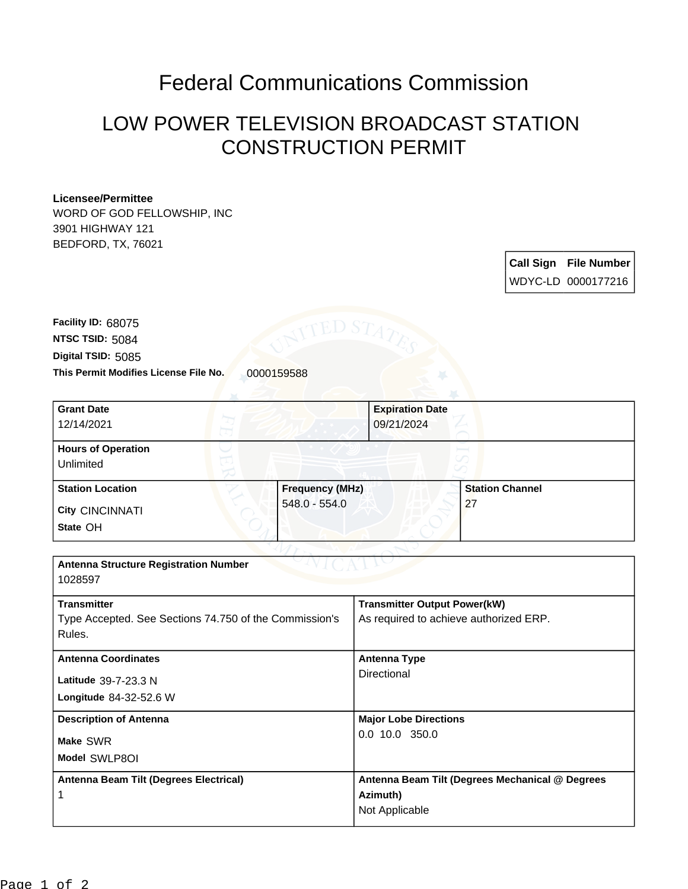## Federal Communications Commission

## LOW POWER TELEVISION BROADCAST STATION CONSTRUCTION PERMIT

## **Licensee/Permittee**

WORD OF GOD FELLOWSHIP, INC 3901 HIGHWAY 121 BEDFORD, TX, 76021

> **Call Sign File Number** WDYC-LD 0000177216

This Permit Modifies License File No. 0000159588 **Digital TSID:** 5085 **NTSC TSID:** 5084 **Facility ID:** 68075

| <b>Grant Date</b>                                      |                        | <b>Expiration Date</b> |                                        |  |
|--------------------------------------------------------|------------------------|------------------------|----------------------------------------|--|
| 12/14/2021                                             |                        |                        | 09/21/2024                             |  |
| <b>Hours of Operation</b>                              |                        |                        |                                        |  |
| Unlimited                                              |                        |                        |                                        |  |
| <b>Station Location</b>                                | <b>Frequency (MHz)</b> |                        | <b>Station Channel</b>                 |  |
| <b>City CINCINNATI</b>                                 | 548.0 - 554.0          |                        | 27                                     |  |
| State OH                                               |                        |                        |                                        |  |
|                                                        |                        |                        |                                        |  |
| <b>Antenna Structure Registration Number</b>           |                        |                        |                                        |  |
| 1028597                                                |                        |                        |                                        |  |
| <b>Transmitter</b>                                     |                        |                        | <b>Transmitter Output Power(kW)</b>    |  |
| Type Accepted. See Sections 74.750 of the Commission's |                        |                        | As required to achieve authorized ERP. |  |
| Rules.                                                 |                        |                        |                                        |  |
| <b>Antenna Coordinates</b>                             |                        |                        | <b>Antenna Type</b>                    |  |
| Latitude 39-7-23.3 N                                   |                        | Directional            |                                        |  |
| Longitude 84-32-52.6 W                                 |                        |                        |                                        |  |
| <b>Description of Antenna</b>                          |                        |                        | <b>Major Lobe Directions</b>           |  |
| Make SWR                                               |                        |                        | 0.0 10.0 350.0                         |  |
| Model SWLP8OI                                          |                        |                        |                                        |  |

**Antenna Beam Tilt (Degrees Electrical) Antenna Beam Tilt (Degrees Mechanical @ Degrees Azimuth)** Not Applicable

1